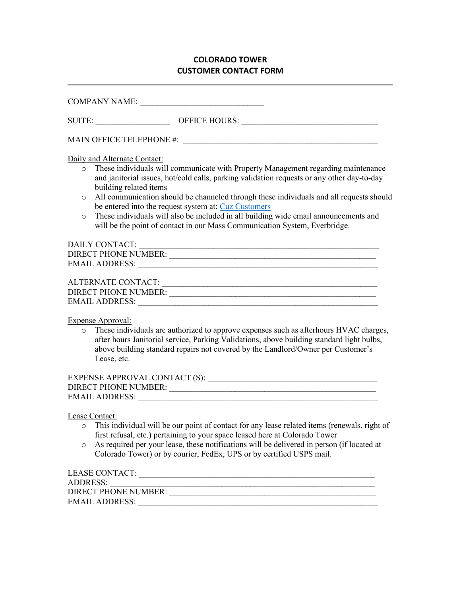## **COLORADO TOWER CUSTOMER CONTACT FORM**

| Daily and Alternate Contact:                                                                                                                                                                                                                                                                                                 |
|------------------------------------------------------------------------------------------------------------------------------------------------------------------------------------------------------------------------------------------------------------------------------------------------------------------------------|
| These individuals will communicate with Property Management regarding maintenance<br>$\circ$<br>and janitorial issues, hot/cold calls, parking validation requests or any other day-to-day<br>building related items                                                                                                         |
| All communication should be channeled through these individuals and all requests should<br>$\circ$<br>be entered into the request system at: Cuz Customers                                                                                                                                                                   |
| These individuals will also be included in all building wide email announcements and<br>$\circ$<br>will be the point of contact in our Mass Communication System, Everbridge.                                                                                                                                                |
|                                                                                                                                                                                                                                                                                                                              |
| DIRECT PHONE NUMBER:                                                                                                                                                                                                                                                                                                         |
|                                                                                                                                                                                                                                                                                                                              |
|                                                                                                                                                                                                                                                                                                                              |
| ALTERNATE CONTACT:                                                                                                                                                                                                                                                                                                           |
| DIRECT PHONE NUMBER: VALUE AND THE SERIES OF THE SERIES OF THE SERIES OF THE SERIES OF THE SERIES OF THE SERIES OF THE SERIES OF THE SERIES OF THE SERIES OF THE SERIES OF THE SERIES OF THE SERIES OF THE SERIES OF THE SERIE                                                                                               |
|                                                                                                                                                                                                                                                                                                                              |
| <b>Expense Approval:</b><br>These individuals are authorized to approve expenses such as afterhours HVAC charges,<br>$\circ$<br>after hours Janitorial service, Parking Validations, above building standard light bulbs,<br>above building standard repairs not covered by the Landlord/Owner per Customer's<br>Lease, etc. |
|                                                                                                                                                                                                                                                                                                                              |
|                                                                                                                                                                                                                                                                                                                              |
|                                                                                                                                                                                                                                                                                                                              |
| Lease Contact:<br>$\mathbf{m}$ and $\mathbf{m}$ and $\mathbf{m}$ and $\mathbf{m}$ and $\mathbf{m}$ and $\mathbf{m}$ and $\mathbf{m}$ and $\mathbf{m}$ and $\mathbf{m}$                                                                                                                                                       |

- o This individual will be our point of contact for any lease related items (renewals, right of first refusal, etc.) pertaining to your space leased here at Colorado Tower
- o As required per your lease, these notifications will be delivered in person (if located at Colorado Tower) or by courier, FedEx, UPS or by certified USPS mail.

| LEASE CONTACT:       |  |
|----------------------|--|
| ADDRESS:             |  |
| DIRECT PHONE NUMBER: |  |
| EMAIL ADDRESS:       |  |
|                      |  |